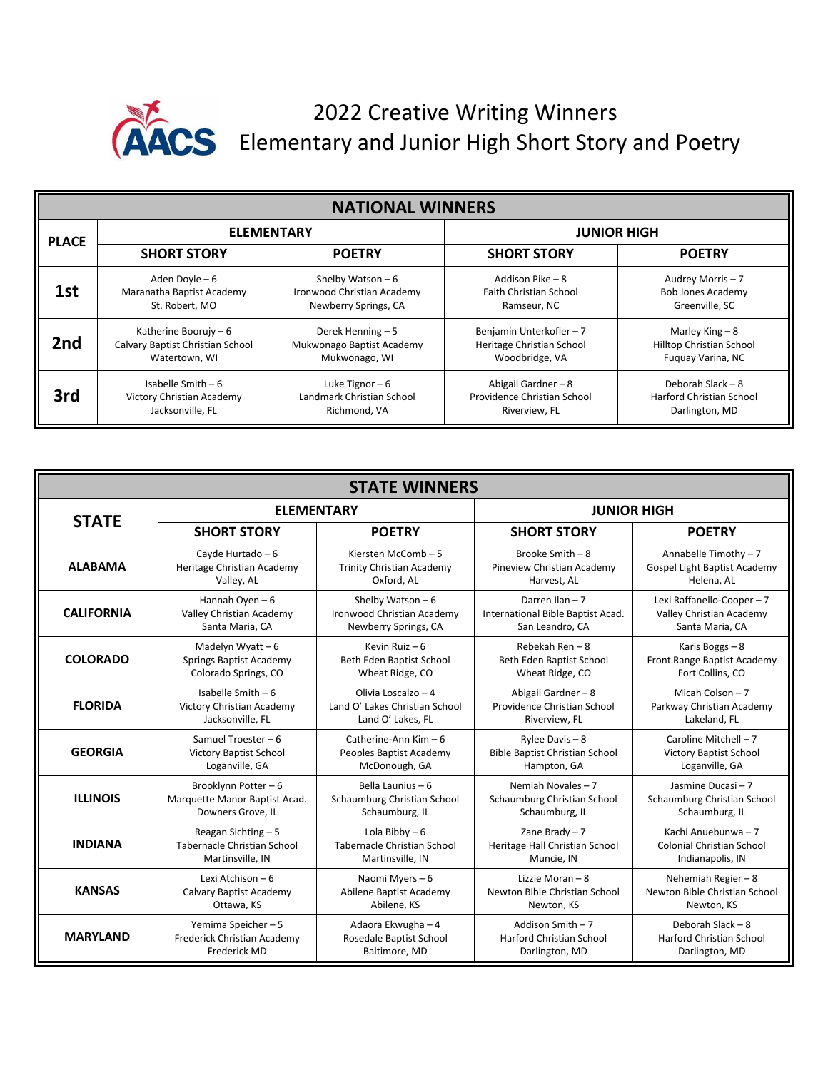

## 2022 Creative Writing Winners Elementary and Junior High Short Story and Poetry

| <b>NATIONAL WINNERS</b> |                                  |                            |                               |                                 |  |  |  |  |
|-------------------------|----------------------------------|----------------------------|-------------------------------|---------------------------------|--|--|--|--|
| <b>PLACE</b>            | <b>ELEMENTARY</b>                |                            | <b>JUNIOR HIGH</b>            |                                 |  |  |  |  |
|                         | <b>SHORT STORY</b>               | <b>POETRY</b>              | <b>SHORT STORY</b>            | <b>POETRY</b>                   |  |  |  |  |
| 1st                     | Aden Doyle - 6                   | Shelby Watson $-6$         | Addison Pike - 8              | Audrey Morris - 7               |  |  |  |  |
|                         | Maranatha Baptist Academy        | Ironwood Christian Academy | <b>Faith Christian School</b> | <b>Bob Jones Academy</b>        |  |  |  |  |
|                         | St. Robert, MO                   | Newberry Springs, CA       | Ramseur, NC                   | Greenville, SC                  |  |  |  |  |
| 2 <sub>nd</sub>         | Katherine Boorujy $-6$           | Derek Henning - 5          | Benjamin Unterkofler - 7      | Marley King $-8$                |  |  |  |  |
|                         | Calvary Baptist Christian School | Mukwonago Baptist Academy  | Heritage Christian School     | <b>Hilltop Christian School</b> |  |  |  |  |
|                         | Watertown, WI                    | Mukwonago, WI              | Woodbridge, VA                | Fuguay Varina, NC               |  |  |  |  |
| 3rd                     | Isabelle Smith $-6$              | Luke Tignor $-6$           | Abigail Gardner $-8$          | Deborah Slack - 8               |  |  |  |  |
|                         | Victory Christian Academy        | Landmark Christian School  | Providence Christian School   | <b>Harford Christian School</b> |  |  |  |  |
|                         | Jacksonville, FL                 | Richmond, VA               | Riverview, FL                 | Darlington, MD                  |  |  |  |  |

| <b>STATE WINNERS</b> |                               |                                  |                                       |                                 |  |  |  |  |
|----------------------|-------------------------------|----------------------------------|---------------------------------------|---------------------------------|--|--|--|--|
|                      | <b>ELEMENTARY</b>             |                                  | <b>JUNIOR HIGH</b>                    |                                 |  |  |  |  |
| <b>STATE</b>         | <b>SHORT STORY</b>            | <b>POETRY</b>                    | <b>SHORT STORY</b>                    | <b>POETRY</b>                   |  |  |  |  |
| <b>ALABAMA</b>       | Cayde Hurtado - 6             | Kiersten McComb-5                | Brooke Smith - 8                      | Annabelle Timothy $-7$          |  |  |  |  |
|                      | Heritage Christian Academy    | <b>Trinity Christian Academy</b> | Pineview Christian Academy            | Gospel Light Baptist Academy    |  |  |  |  |
|                      | Valley, AL                    | Oxford, AL                       | Harvest, AL                           | Helena, AL                      |  |  |  |  |
| <b>CALIFORNIA</b>    | Hannah Oyen - 6               | Shelby Watson $-6$               | Darren Ilan - 7                       | Lexi Raffanello-Cooper - 7      |  |  |  |  |
|                      | Valley Christian Academy      | Ironwood Christian Academy       | International Bible Baptist Acad.     | Valley Christian Academy        |  |  |  |  |
|                      | Santa Maria, CA               | Newberry Springs, CA             | San Leandro, CA                       | Santa Maria, CA                 |  |  |  |  |
| <b>COLORADO</b>      | Madelyn Wyatt $-6$            | Kevin Ruiz $-6$                  | Rebekah Ren - 8                       | Karis Boggs $-8$                |  |  |  |  |
|                      | Springs Baptist Academy       | Beth Eden Baptist School         | Beth Eden Baptist School              | Front Range Baptist Academy     |  |  |  |  |
|                      | Colorado Springs, CO          | Wheat Ridge, CO                  | Wheat Ridge, CO                       | Fort Collins, CO                |  |  |  |  |
| <b>FLORIDA</b>       | Isabelle Smith $-6$           | Olivia Loscalzo - 4              | Abigail Gardner - 8                   | Micah Colson - 7                |  |  |  |  |
|                      | Victory Christian Academy     | Land O' Lakes Christian School   | Providence Christian School           | Parkway Christian Academy       |  |  |  |  |
|                      | Jacksonville, FL              | Land O' Lakes, FL                | Riverview, FL                         | Lakeland, FL                    |  |  |  |  |
| <b>GEORGIA</b>       | Samuel Troester $-6$          | Catherine-Ann Kim - 6            | Rylee Davis $-8$                      | Caroline Mitchell - 7           |  |  |  |  |
|                      | <b>Victory Baptist School</b> | Peoples Baptist Academy          | <b>Bible Baptist Christian School</b> | <b>Victory Baptist School</b>   |  |  |  |  |
|                      | Loganville, GA                | McDonough, GA                    | Hampton, GA                           | Loganville, GA                  |  |  |  |  |
| <b>ILLINOIS</b>      | Brooklynn Potter - 6          | Bella Launius - 6                | Nemiah Novales - 7                    | Jasmine Ducasi-7                |  |  |  |  |
|                      | Marquette Manor Baptist Acad. | Schaumburg Christian School      | Schaumburg Christian School           | Schaumburg Christian School     |  |  |  |  |
|                      | Downers Grove, IL             | Schaumburg, IL                   | Schaumburg, IL                        | Schaumburg, IL                  |  |  |  |  |
| <b>INDIANA</b>       | Reagan Sichting $-5$          | Lola Bibby $-6$                  | Zane Brady $-7$                       | Kachi Anuebunwa - 7             |  |  |  |  |
|                      | Tabernacle Christian School   | Tabernacle Christian School      | Heritage Hall Christian School        | Colonial Christian School       |  |  |  |  |
|                      | Martinsville, IN              | Martinsville, IN                 | Muncie, IN                            | Indianapolis, IN                |  |  |  |  |
| <b>KANSAS</b>        | Lexi Atchison - 6             | Naomi Myers-6                    | Lizzie Moran - 8                      | Nehemiah Regier $-8$            |  |  |  |  |
|                      | Calvary Baptist Academy       | Abilene Baptist Academy          | Newton Bible Christian School         | Newton Bible Christian School   |  |  |  |  |
|                      | Ottawa, KS                    | Abilene, KS                      | Newton, KS                            | Newton, KS                      |  |  |  |  |
| <b>MARYLAND</b>      | Yemima Speicher-5             | Adaora Ekwugha - 4               | Addison Smith $-7$                    | Deborah Slack - 8               |  |  |  |  |
|                      | Frederick Christian Academy   | Rosedale Baptist School          | <b>Harford Christian School</b>       | <b>Harford Christian School</b> |  |  |  |  |
|                      | Frederick MD                  | Baltimore, MD                    | Darlington, MD                        | Darlington, MD                  |  |  |  |  |